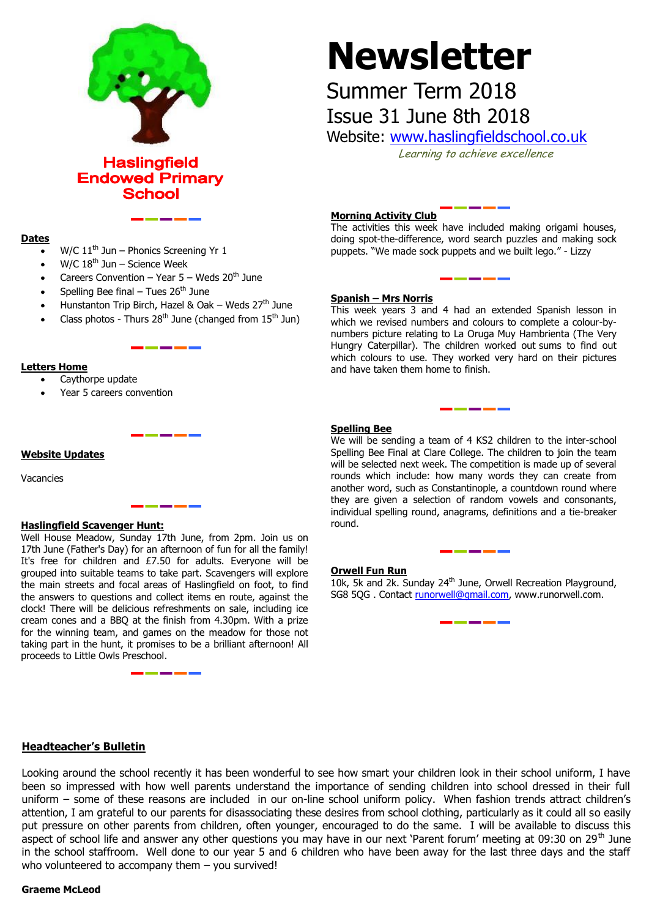

**Haslingfield Endowed Primary School** 

# **Newsletter**

# Summer Term 2018 Issue 31 June 8th 2018

Website: [www.haslingfieldschool.co.uk](http://www.haslingfieldschool.co.uk/)

Learning to achieve excellence

#### **Dates**

- W/C  $11<sup>th</sup>$  Jun Phonics Screening Yr 1
- W/C  $18^{th}$  Jun Science Week
- Careers Convention Year  $5$  Weds 20<sup>th</sup> June
- Spelling Bee final Tues  $26<sup>th</sup>$  June
- Hunstanton Trip Birch, Hazel & Oak Weds  $27<sup>th</sup>$  June
- Class photos Thurs  $28<sup>th</sup>$  June (changed from  $15<sup>th</sup>$  Jun)

#### **Letters Home**

- Caythorpe update
- Year 5 careers convention

#### **Website Updates**

Vacancies

## **Haslingfield Scavenger Hunt:**

Well House Meadow, Sunday 17th June, from 2pm. Join us on 17th June (Father's Day) for an afternoon of fun for all the family! It's free for children and £7.50 for adults. Everyone will be grouped into suitable teams to take part. Scavengers will explore the main streets and focal areas of Haslingfield on foot, to find the answers to questions and collect items en route, against the clock! There will be delicious refreshments on sale, including ice cream cones and a BBQ at the finish from 4.30pm. With a prize for the winning team, and games on the meadow for those not taking part in the hunt, it promises to be a brilliant afternoon! All proceeds to Little Owls Preschool.

#### **Morning Activity Club**

The activities this week have included making origami houses, doing spot-the-difference, word search puzzles and making sock puppets. "We made sock puppets and we built lego." - Lizzy

#### **Spanish – Mrs Norris**

This week years 3 and 4 had an extended Spanish lesson in which we revised numbers and colours to complete a colour-bynumbers picture relating to La Oruga Muy Hambrienta (The Very Hungry Caterpillar). The children worked out sums to find out which colours to use. They worked very hard on their pictures and have taken them home to finish.

#### **Spelling Bee**

 they are given a selection of random vowels and consonants, We will be sending a team of 4 KS2 children to the inter-school Spelling Bee Final at Clare College. The children to join the team will be selected next week. The competition is made up of several rounds which include: how many words they can create from another word, such as Constantinople, a countdown round where individual spelling round, anagrams, definitions and a tie-breaker round.

#### **Orwell Fun Run**

10k, 5k and 2k. Sunday 24<sup>th</sup> June, Orwell Recreation Playground, SG8 5QG . Contact [runorwell@gmail.com,](mailto:runorwell@gmail.com) www.runorwell.com.

#### **Headteacher's Bulletin**

Looking around the school recently it has been wonderful to see how smart your children look in their school uniform, I have been so impressed with how well parents understand the importance of sending children into school dressed in their full uniform – some of these reasons are included in our on-line school uniform policy. When fashion trends attract children's attention, I am grateful to our parents for disassociating these desires from school clothing, particularly as it could all so easily put pressure on other parents from children, often younger, encouraged to do the same. I will be available to discuss this aspect of school life and answer any other questions you may have in our next 'Parent forum' meeting at 09:30 on 29<sup>th</sup> June in the school staffroom. Well done to our year 5 and 6 children who have been away for the last three days and the staff who volunteered to accompany them - you survived!

## **Graeme McLeod**